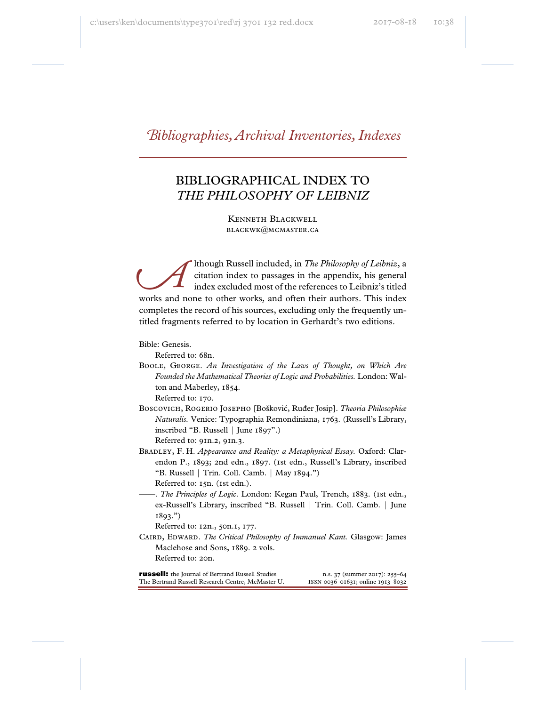# *\_ibliographies, Archival Inventories, Indexes*

## BIBLIOGRAPHICAL INDEX TO *THE PHILOSOPHY OF LEIBNIZ*

Kenneth Blackwell blackwk@mcmaster.ca

lthough Russell included, in *The Philosophy of Leibniz*, a citation index to passages in the appendix, his general index excluded most of the references to Leibniz's titled works and none to other works, and often their authors. This index completes the record of his sources, excluding only the frequently untitled fragments referred to by location in Gerhardt's two editions. *^*

Bible: Genesis.

Referred to: 68n.

Boole, George. *An Investigation of the Laws of Thought, on Which Are Founded the Mathematical Theories of Logic and Probabilities.* London: Walton and Maberley, 1854.

Referred to: 170.

Boscovich, Rogerio Josepho [Bošković, Ruđer Josip]. *Theoria Philosophiæ Naturalis.* Venice: Typographia Remondiniana, 1763. (Russell's Library, inscribed "B. Russell | June 1897".)

Referred to: 91n.2, 91n.3.

Bradley, F. H. *Appearance and Reality: a Metaphysical Essay.* Oxford: Clarendon P., 1893; 2nd edn., 1897. (1st edn., Russell's Library, inscribed "B. Russell | Trin. Coll. Camb. | May 1894.") Referred to: 15n. (1st edn.).

——. *The Principles of Logic*. London: Kegan Paul, Trench, 1883. (1st edn., ex-Russell's Library, inscribed "B. Russell | Trin. Coll. Camb. | June 1893.")

Referred to: 12n., 50n.1, 177.

Caird, Edward. *The Critical Philosophy of Immanuel Kant.* Glasgow: James Maclehose and Sons, 1889. 2 vols. Referred to: 20n.

russell: the Journal of Bertrand Russell Studies n.s. 37 (summer 2017): 255–64 The Bertrand Russell Research Centre, McMaster U. issn 0036-01631; online 1913-8032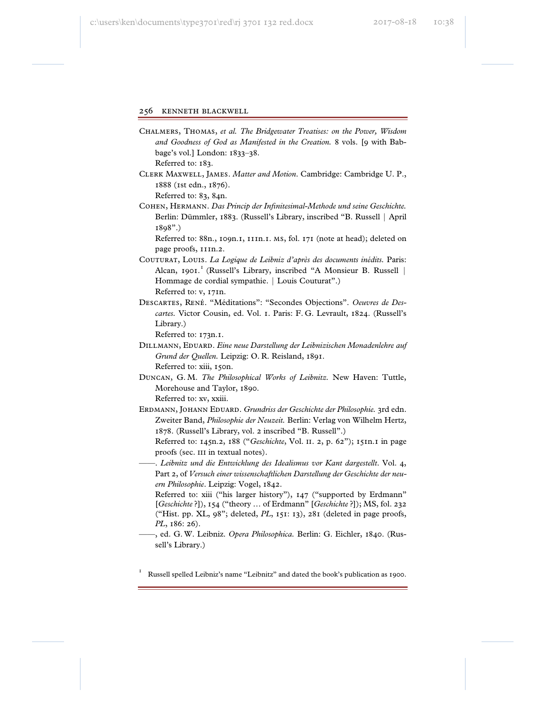- Chalmers, Thomas, *et al. The Bridgewater Treatises: on the Power, Wisdom and Goodness of God as Manifested in the Creation.* 8 vols. [9 with Babbage's vol.] London: 1833–38. Referred to: 183.
- Clerk Maxwell, James. *Matter and Motion*. Cambridge: Cambridge U. P., 1888 (1st edn., 1876).

Referred to: 83, 84n.

Cohen, Hermann. *Das Princip der Infinitesimal-Methode und seine Geschichte.* Berlin: Dümmler, 1883. (Russell's Library, inscribed "B. Russell | April 1898".)

Referred to: 88n., 109n.1, 111n.1. ms, fol. 171 (note at head); deleted on page proofs, 111n.2.

- Couturat, Louis. *La Logique de Leibniz d'après des documents inédits.* Paris: Alcan, 1901.<sup>1</sup> (Russell's Library, inscribed "A Monsieur B. Russell | Hommage de cordial sympathie. | Louis Couturat".) Referred to: v, 171n.
- Descartes, René. "Méditations": "Secondes Objections". *Oeuvres de Descartes.* Victor Cousin, ed. Vol. 1. Paris: F. G. Levrault, 1824. (Russell's Library.)

Referred to: 173n.1.

- Dillmann, Eduard. *Eine neue Darstellung der Leibnizischen Monadenlehre auf Grund der Quellen.* Leipzig: O. R. Reisland, 1891. Referred to: xiii, 150n.
- Duncan, G. M. *The Philosophical Works of Leibnitz.* New Haven: Tuttle, Morehouse and Taylor, 1890. Referred to: xv, xxiii.
- Erdmann, Johann Eduard. *Grundriss der Geschichte der Philosophie.* 3rd edn. Zweiter Band, *Philosophie der Neuzeit.* Berlin: Verlag von Wilhelm Hertz, 1878. (Russell's Library, vol. 2 inscribed "B. Russell".)

 Referred to: 145n.2, 188 ("*Geschichte*, Vol. ii. 2, p. 62"); 151n.1 in page proofs (sec. III in textual notes).

- ——. *Leibnitz und die Entwicklung des Idealismus vor Kant dargestellt*. Vol. 4, Part 2, of *Versuch einer wissenschaftlichen Darstellung der Geschichte der neuern Philosophie*. Leipzig: Vogel, 1842.
	- Referred to: xiii ("his larger history"), 147 ("supported by Erdmann" [*Geschichte* ?]), 154 ("theory … of Erdmann" [*Geschichte* ?]); MS, fol. 232 ("Hist. pp. XL, 98"; deleted, *PL*, 151: 13), 281 (deleted in page proofs, *PL*, 186: 26).
- ——, ed. G. W. Leibniz. *Opera Philosophica.* Berlin: G. Eichler, 1840. (Russell's Library.)

1 Russell spelled Leibniz's name "Leibnitz" and dated the book's publication as 1900.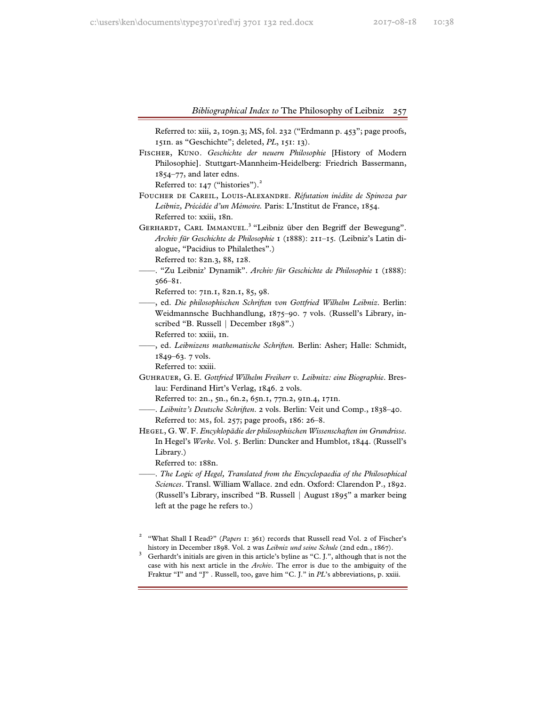Referred to: xiii, 2, 109n.3; MS, fol. 232 ("Erdmann p. 453"; page proofs, 151n. as "Geschichte"; deleted, *PL*, 151: 13).

Fischer, Kuno. *Geschichte der neuern Philosophie* [History of Modern Philosophie]. Stuttgart-Mannheim-Heidelberg: Friedrich Bassermann, 1854–77, and later edns.

Referred to:  $147$  ("histories").<sup>2</sup>

- Foucher de Careil, Louis-Alexandre. *Réfutation inédite de Spinoza par Leibniz, Précédée d'un Mémoire.* Paris: L'Institut de France, 1854. Referred to: xxiii, 18n.
- GERHARDT, CARL IMMANUEL.<sup>3</sup> "Leibniz über den Begriff der Bewegung". *Archiv für Geschichte de Philosophie* 1 (1888): 211–15. (Leibniz's Latin dialogue, "Pacidius to Philalethes".)

Referred to: 82n.3, 88, 128.

——. "Zu Leibniz' Dynamik". *Archiv für Geschichte de Philosophie* 1 (1888): 566–81.

Referred to: 71n.1, 82n.1, 85, 98.

——, ed. *Die philosophischen Schriften von Gottfried Wilhelm Leibniz*. Berlin: Weidmannsche Buchhandlung, 1875–90. 7 vols. (Russell's Library, inscribed "B. Russell | December 1898".)

Referred to: xxiii, 1n.

——, ed. *Leibnizens mathematische Schriften.* Berlin: Asher; Halle: Schmidt, 1849–63. 7 vols.

Referred to: xxiii.

Guhrauer, G. E. *Gottfried Wilhelm Freiherr v. Leibnitz: eine Biographie*. Breslau: Ferdinand Hirt's Verlag, 1846. 2 vols.

Referred to: 2n., 5n., 6n.2, 65n.1, 77n.2, 91n.4, 171n.

- ——. *Leibnitz's Deutsche Schriften*. 2 vols. Berlin: Veit und Comp., 1838–40. Referred to: ms, fol. 257; page proofs, 186: 26–8.
- Hegel, G. W. F. *Encyklopädie der philosophischen Wissenschaften im Grundrisse*. In Hegel's *Werke*. Vol. 5. Berlin: Duncker and Humblot, 1844. (Russell's Library.)

Referred to: 188n.

——. *The Logic of Hegel, Translated from the Encyclopaedia of the Philosophical Sciences*. Transl. William Wallace. 2nd edn. Oxford: Clarendon P., 1892. (Russell's Library, inscribed "B. Russell | August 1895" a marker being left at the page he refers to.)

<sup>2</sup> "What Shall I Read?" (*Papers* 1: 361) records that Russell read Vol. 2 of Fischer's

history in December 1898. Vol. 2 was *Leibniz und seine Schule* (2nd edn., 1867).<br><sup>3</sup> Gerhardt's initials are given in this article's byline as "C. J.", although that is not the case with his next article in the *Archiv*. The error is due to the ambiguity of the Fraktur "I" and "J" . Russell, too, gave him "C. J." in *PL*'s abbreviations, p. xxiii.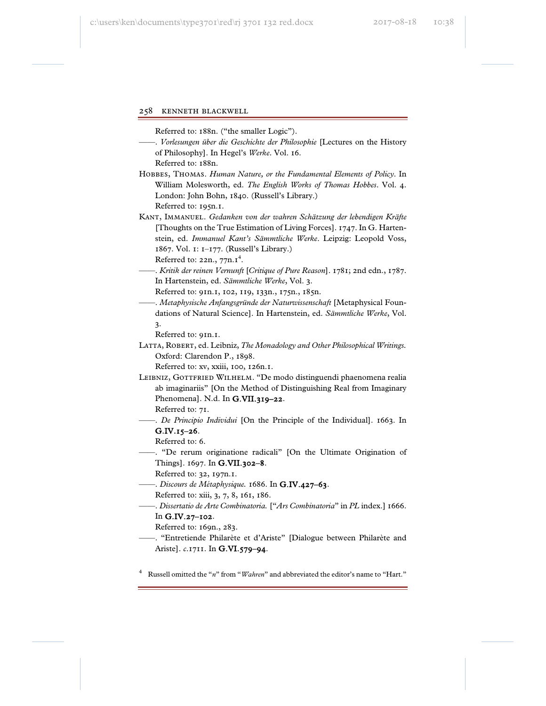Referred to: 188n. ("the smaller Logic").

——. *Vorlesungen über die Geschichte der Philosophie* [Lectures on the History of Philosophy]. In Hegel's *Werke*. Vol. 16.

Referred to: 188n.

- Hobbes, Thomas. *Human Nature, or the Fundamental Elements of Policy*. In William Molesworth, ed. *The English Works of Thomas Hobbes*. Vol. 4. London: John Bohn, 1840. (Russell's Library.) Referred to: 195n.1.
- Kant, Immanuel. *Gedanken von der wahren Schätzung der lebendigen Kräfte* [Thoughts on the True Estimation of Living Forces]. 1747. In G. Hartenstein, ed. *Immanuel Kant's Sämmtliche Werke*. Leipzig: Leopold Voss, 1867. Vol. 1: 1–177. (Russell's Library.)

Referred to:  $22n$ ,  $77n.1<sup>4</sup>$ .

——. *Kritik der reinen Vernunft* [*Critique of Pure Reason*]. 1781; 2nd edn., 1787. In Hartenstein, ed. *Sämmtliche Werke*, Vol. 3.

Referred to: 91n.1, 102, 119, 133n., 175n., 185n.

——. *Metaphysische Anfangsgründe der Naturwissenschaft* [Metaphysical Foundations of Natural Science]. In Hartenstein, ed. *Sämmtliche Werke*, Vol. 3.

Referred to: 91n.1.

Latta, Robert, ed. Leibniz, *The Monadology and Other Philosophical Writings.* Oxford: Clarendon P., 1898.

Referred to: xv, xxiii, 100, 126n.1.

LEIBNIZ, GOTTFRIED WILHELM. "De modo distinguendi phaenomena realia ab imaginariis" [On the Method of Distinguishing Real from Imaginary Phenomena]. N.d. In **G.VII.319-22**.

Referred to: 71.

——. *De Principio Individui* [On the Principle of the Individual]. 1663. In G.IV.15–26.

Referred to: 6.

——. "De rerum originatione radicali" [On the Ultimate Origination of Things]. 1697. In G.VII.302–8.

Referred to: 32, 197n.1.

——. *Discours de Métaphysique.* 1686. In G.IV.427–63.

Referred to: xiii, 3, 7, 8, 161, 186.

——. *Dissertatio de Arte Combinatoria.* ["*Ars Combinatoria*" in *PL* index.] 1666.

## In G.IV.27–102.

Referred to: 169n., 283.

——. "Entretiende Philarète et d'Ariste" [Dialogue between Philarète and Ariste]. *c*.1711. In G.VI.579–94.

4 Russell omitted the "*n*" from "*Wahren*" and abbreviated the editor's name to "Hart."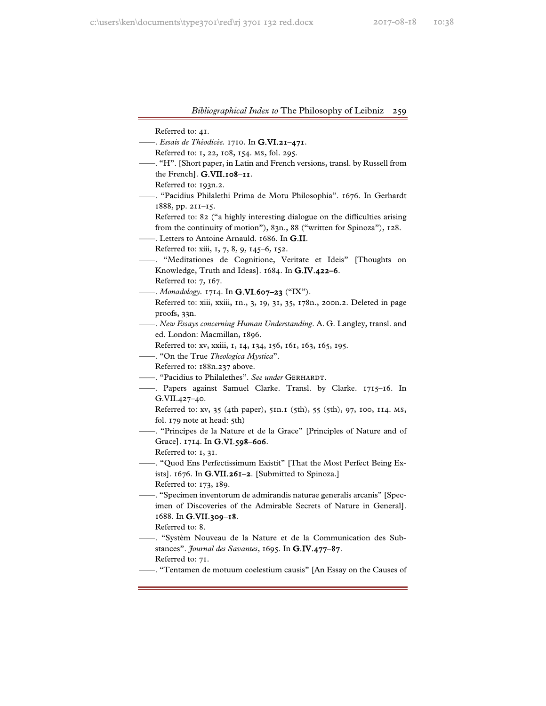Referred to: 41.

- ——. *Essais de Théodicée.* 1710. In G.VI.21–471.
	- Referred to: 1, 22, 108, 154. ms, fol. 295.
- ——. "H". [Short paper, in Latin and French versions, transl. by Russell from the French]. G.VII.108–11.

Referred to: 193n.2.

- ——. "Pacidius Philalethi Prima de Motu Philosophia". 1676. In Gerhardt 1888, pp. 211–15.
	- Referred to: 82 ("a highly interesting dialogue on the difficulties arising from the continuity of motion"), 83n., 88 ("written for Spinoza"), 128.
- Letters to Antoine Arnauld. 1686. In G.II.
	- Referred to: xiii, 1, 7, 8, 9, 145–6, 152.
- ——. "Meditationes de Cognitione, Veritate et Ideis" [Thoughts on Knowledge, Truth and Ideas]. 1684. In G.IV.422–6.
	- Referred to: 7, 167.
- ——. *Monadology.* 1714. In G.VI.607–23 ("IX").
	- Referred to: xiii, xxiii, 1n., 3, 19, 31, 35, 178n., 200n.2. Deleted in page proofs, 33n.
- ——. *New Essays concerning Human Understanding*. A. G. Langley, transl. and ed. London: Macmillan, 1896.
	- Referred to: xv, xxiii, 1, 14, 134, 156, 161, 163, 165, 195.
- ——. "On the True *Theologica Mystica*".

Referred to: 188n.237 above.

- ——. "Pacidius to Philalethes". *See under* Gerhardt.
- ——. Papers against Samuel Clarke. Transl. by Clarke. 1715–16. In G.VII.427–40.

 Referred to: xv, 35 (4th paper), 51n.1 (5th), 55 (5th), 97, 100, 114. ms, fol. 179 note at head: 5th)

——. "Principes de la Nature et de la Grace" [Principles of Nature and of Grace]. 1714. In G.VI.598–606.

Referred to: 1, 31.

——. "Quod Ens Perfectissimum Existit" [That the Most Perfect Being Exists]. 1676. In G.VII.261–2. [Submitted to Spinoza.]

Referred to: 173, 189.

——. "Specimen inventorum de admirandis naturae generalis arcanis" [Specimen of Discoveries of the Admirable Secrets of Nature in General]. 1688. In G.VII.309–18.

Referred to: 8.

- ——. "Systèm Nouveau de la Nature et de la Communication des Substances". *Journal des Savantes*, 1695. In G.IV.477–87. Referred to: 71.
- ——. "Tentamen de motuum coelestium causis" [An Essay on the Causes of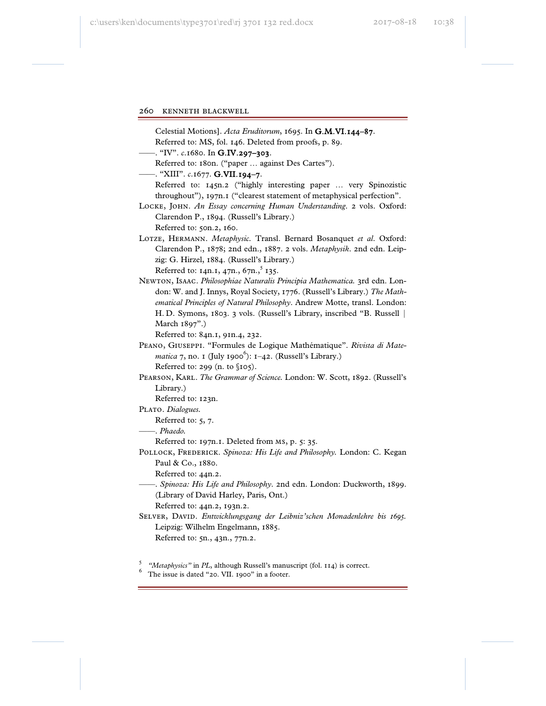Celestial Motions]. *Acta Eruditorum*, 1695. In G.M.VI.144–87.

Referred to: MS, fol. 146. Deleted from proofs, p. 89.

——. "IV". *c*.1680. In G.IV.297–303.

Referred to: 180n. ("paper ... against Des Cartes").

——. "XIII". *c*.1677. G.VII.194–7.

Referred to: 145n.2 ("highly interesting paper ... very Spinozistic throughout"), 197n.1 ("clearest statement of metaphysical perfection".

Locke, John. *An Essay concerning Human Understanding*. 2 vols. Oxford: Clarendon P., 1894. (Russell's Library.) Referred to: 50n.2, 160.

Lotze, Hermann. *Metaphysic.* Transl. Bernard Bosanquet *et al*. Oxford: Clarendon P., 1878; 2nd edn., 1887. 2 vols. *Metaphysik*. 2nd edn. Leipzig: G. Hirzel, 1884. (Russell's Library.)

Referred to: 14n.1, 47n., 67n.,  $5$  135.

Newton, Isaac. *Philosophiae Naturalis Principia Mathematica.* 3rd edn. London: W. and J. Innys, Royal Society, 1776. (Russell's Library.) *The Mathematical Principles of Natural Philosophy*. Andrew Motte, transl. London: H. D. Symons, 1803. 3 vols. (Russell's Library, inscribed "B. Russell | March 1897".)

Referred to: 84n.1, 91n.4, 232.

- Peano, Giuseppi. "Formules de Logique Mathématique". *Rivista di Mate*matica 7, no. 1 (July 1900<sup>6</sup>): 1–42. (Russell's Library.) Referred to: 299 (n. to §105).
- Pearson, Karl. *The Grammar of Science.* London: W. Scott, 1892. (Russell's Library.)

Referred to: 123n.

PLATO. Dialogues.

Referred to: 5, 7.

——. *Phaedo.*

Referred to: 197n.1. Deleted from ms, p. 5: 35.

- POLLOCK, FREDERICK. Spinoza: His Life and Philosophy. London: C. Kegan Paul & Co., 1880.
	- Referred to: 44n.2.
	- ——. *Spinoza: His Life and Philosophy*. 2nd edn. London: Duckworth, 1899. (Library of David Harley, Paris, Ont.)

Referred to: 44n.2, 193n.2.

Selver, David. *Entwicklungsgang der Leibniz'schen Monadenlehre bis 1695.* Leipzig: Wilhelm Engelmann, 1885. Referred to: 5n., 43n., 77n.2.

<sup>5</sup> "Metaphysics" in *PL*, although Russell's manuscript (fol. 114) is correct.

 $6$  The issue is dated "20. VII. 1900" in a footer.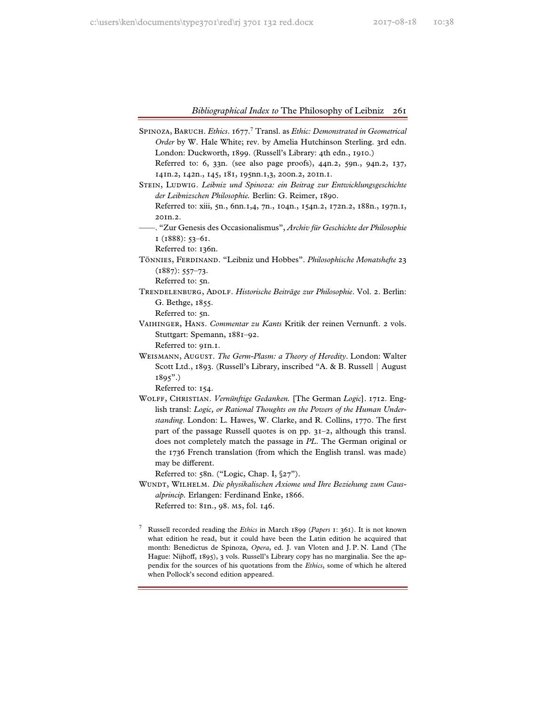SPINOZA, BARUCH. *Ethics.* 1677.<sup>7</sup> Transl. as *Ethic: Demonstrated in Geometrical Order* by W. Hale White; rev. by Amelia Hutchinson Sterling. 3rd edn. London: Duckworth, 1899. (Russell's Library: 4th edn., 1910.) Referred to: 6, 33n. (see also page proofs), 44n.2, 59n., 94n.2, 137,

141n.2, 142n., 145, 181, 195nn.1,3, 200n.2, 201n.1.

- STEIN, LUDWIG. *Leibniz und Spinoza: ein Beitrag zur Entwicklungsgeschichte der Leibnizschen Philosophie.* Berlin: G. Reimer, 1890. Referred to: xiii, 5n., 6nn.1,4, 7n., 104n., 154n.2, 172n.2, 188n., 197n.1, 201n.2.
- ——. "Zur Genesis des Occasionalismus", *Archiv für Geschichte der Philosophie* 1 (1888): 53–61.

Referred to: 136n.

Tönnies, Ferdinand. "Leibniz und Hobbes". *Philosophische Monatshefte* 23  $(1887): 557-73.$ 

Referred to: 5n.

Trendelenburg, Adolf. *Historische Beiträge zur Philosophie*. Vol. 2. Berlin: G. Bethge, 1855.

Referred to: 5n.

Vaihinger, Hans. *Commentar zu Kants* Kritik der reinen Vernunft. 2 vols. Stuttgart: Spemann, 1881–92.

Referred to: 91n.1.

Weismann, August. *The Germ-Plasm: a Theory of Heredity*. London: Walter Scott Ltd., 1893. (Russell's Library, inscribed "A. & B. Russell | August 1895".)

Referred to: 154.

Wolff, Christian. *Vernünftige Gedanken.* [The German *Logic*]. 1712. English transl: *Logic, or Rational Thoughts on the Powers of the Human Understanding*. London: L. Hawes, W. Clarke, and R. Collins, 1770. The first part of the passage Russell quotes is on pp. 31–2, although this transl. does not completely match the passage in *PL*. The German original or the 1736 French translation (from which the English transl. was made) may be different.

Referred to: 58n. ("Logic, Chap. I, §27").

WUNDT, WILHELM. Die physikalischen Axiome und Ihre Beziehung zum Caus*alprincip.* Erlangen: Ferdinand Enke, 1866. Referred to: 81n., 98. ms, fol. 146.

<sup>7</sup> Russell recorded reading the *Ethics* in March 1899 (*Papers* 1: 361). It is not known what edition he read, but it could have been the Latin edition he acquired that month: Benedictus de Spinoza, *Opera*, ed. J. van Vloten and J. P. N. Land (The Hague: Nijhoff, 1895), 3 vols. Russell's Library copy has no marginalia. See the appendix for the sources of his quotations from the *Ethics*, some of which he altered when Pollock's second edition appeared.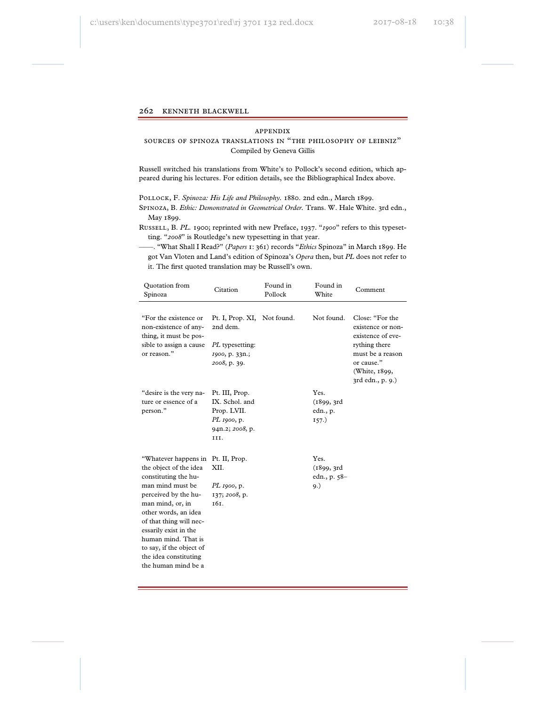#### appendix

## sources of spinoza translations in "the philosophy of leibniz" Compiled by Geneva Gillis

Russell switched his translations from White's to Pollock's second edition, which appeared during his lectures. For edition details, see the Bibliographical Index above.

Pollock, F. *Spinoza: His Life and Philosophy.* 1880. 2nd edn., March 1899.

Spinoza, B. *Ethic: Demonstrated in Geometrical Order.* Trans. W. Hale White. 3rd edn., May 1899.

Russell, B. *PL.* 1900; reprinted with new Preface, 1937. "*1900*" refers to this typesetting. "*2008*" is Routledge's new typesetting in that year.

——. "What Shall I Read?" (*Papers* 1: 361) records "*Ethics* Spinoza" in March 1899. He got Van Vloten and Land's edition of Spinoza's *Opera* then, but *PL* does not refer to it. The first quoted translation may be Russell's own.

| Quotation from<br>Spinoza                                                                                                                                                                                                                                                                                             | Citation                                                                                     | Found in<br>Pollock | Found in<br>White                          | Comment                                                                                                                                           |
|-----------------------------------------------------------------------------------------------------------------------------------------------------------------------------------------------------------------------------------------------------------------------------------------------------------------------|----------------------------------------------------------------------------------------------|---------------------|--------------------------------------------|---------------------------------------------------------------------------------------------------------------------------------------------------|
| "For the existence or<br>non-existence of any-<br>thing, it must be pos-<br>sible to assign a cause<br>or reason."                                                                                                                                                                                                    | Pt. I, Prop. XI, Not found.<br>2nd dem.<br>PL typesetting:<br>1900, p. 33n.;<br>2008, p. 39. |                     | Not found.                                 | Close: "For the<br>existence or non-<br>existence of eve-<br>rything there<br>must be a reason<br>or cause."<br>(White, 1899,<br>3rd edn., p. 9.) |
| "desire is the very na-<br>ture or essence of a<br>person."                                                                                                                                                                                                                                                           | Pt. III, Prop.<br>IX. Schol. and<br>Prop. LVII.<br>PL 1900, p.<br>94n.2; 2008, p.<br>III.    |                     | Yes.<br>(1899, 3rd)<br>edn., p.<br>157.)   |                                                                                                                                                   |
| "Whatever happens in<br>the object of the idea<br>constituting the hu-<br>man mind must be<br>perceived by the hu-<br>man mind, or, in<br>other words, an idea<br>of that thing will nec-<br>essarily exist in the<br>human mind. That is<br>to say, if the object of<br>the idea constituting<br>the human mind be a | Pt. II, Prop.<br>XII.<br>PL 1900, p.<br>137; 2008, p.<br><b>т6т.</b>                         |                     | Yes.<br>(1899, 3rd)<br>edn., p. 58-<br>9.) |                                                                                                                                                   |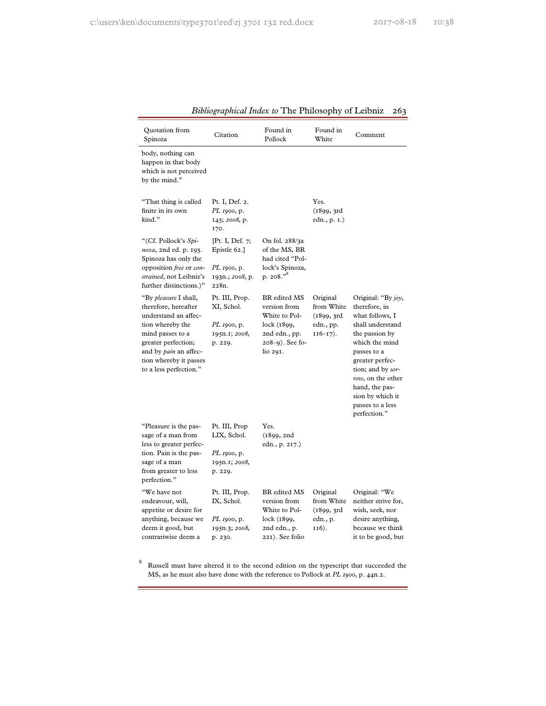| Quotation from<br>Spinoza                                                                                                                                                                                                | Citation                                                                           | Found in<br>Pollock                                                                                             | Found in<br>White                                                  | Comment                                                                                                                                                                                                                                                              |
|--------------------------------------------------------------------------------------------------------------------------------------------------------------------------------------------------------------------------|------------------------------------------------------------------------------------|-----------------------------------------------------------------------------------------------------------------|--------------------------------------------------------------------|----------------------------------------------------------------------------------------------------------------------------------------------------------------------------------------------------------------------------------------------------------------------|
| body, nothing can<br>happen in that body<br>which is not perceived<br>by the mind."                                                                                                                                      |                                                                                    |                                                                                                                 |                                                                    |                                                                                                                                                                                                                                                                      |
| "That thing is called<br>finite in its own<br>kind."                                                                                                                                                                     | Pt. I, Def. 2.<br><i>PL</i> 1900, p.<br>145; 2008, p.<br>170.                      |                                                                                                                 | Yes.<br>(1899, 3rd)<br>edn., p. 1.)                                |                                                                                                                                                                                                                                                                      |
| "(Cf. Pollock's Spi-<br>noza, 2nd ed. p. 193.<br>Spinoza has only the<br>opposition free or con-<br>strained, not Leibniz's<br>further distinctions.)"                                                                   | [Pt. I, Def. 7;<br>Epistle 62.]<br><i>PL 1900</i> , p.<br>193n.; 2008, p.<br>228n. | On fol. 288/3a<br>of the MS, BR<br>had cited "Pol-<br>lock's Spinoza,<br>p. 208."                               |                                                                    |                                                                                                                                                                                                                                                                      |
| "By pleasure I shall,<br>therefore, hereafter<br>understand an affec-<br>tion whereby the<br>mind passes to a<br>greater perfection;<br>and by <i>pain</i> an affec-<br>tion whereby it passes<br>to a less perfection." | Pt. III, Prop.<br>XI, Schol.<br><i>PL</i> 1900, p.<br>195n.1; 2008,<br>p. 229.     | BR edited MS<br>version from<br>White to Pol-<br>lock (1899,<br>2nd edn., pp.<br>$208-9$ ). See fo-<br>lio 291. | Original<br>from White<br>(1899, 3rd)<br>edn., pp.<br>$116 - 17$ . | Original: "By joy,<br>therefore, in<br>what follows, I<br>shall understand<br>the passion by<br>which the mind<br>passes to a<br>greater perfec-<br>tion; and by sor-<br>row, on the other<br>hand, the pas-<br>sion by which it<br>passes to a less<br>perfection." |
| "Pleasure is the pas-<br>sage of a man from<br>less to greater perfec-<br>tion. Pain is the pas-<br>sage of a man<br>from greater to less<br>perfection."                                                                | Pt. III, Prop<br>LIX, Schol.<br><i>PL</i> 1900, p.<br>195n.1; 2008,<br>p. 229.     | Yes.<br>(1899, 2nd)<br>edn., p. 217.)                                                                           |                                                                    |                                                                                                                                                                                                                                                                      |
| "We have not<br>endeavour, will,<br>appetite or desire for<br>anything, because we<br>deem it good, but<br>contrariwise deem a                                                                                           | Pt. III, Prop.<br>IX, Schol.<br><i>PL 1900</i> , p.<br>195n.3; 2008,<br>p. 230.    | BR edited MS<br>version from<br>White to Pol-<br>lock (1899,<br>2nd edn., p.<br>221). See folio                 | Original<br>from White<br>(1899, 3rd)<br>edn., p.<br>116).         | Original: "We<br>neither strive for,<br>wish, seek, nor<br>desire anything,<br>because we think<br>it to be good, but                                                                                                                                                |

8 Russell must have altered it to the second edition on the typescript that succeeded the MS, as he must also have done with the reference to Pollock at *PL 1900*, p. 44n.2.

۰